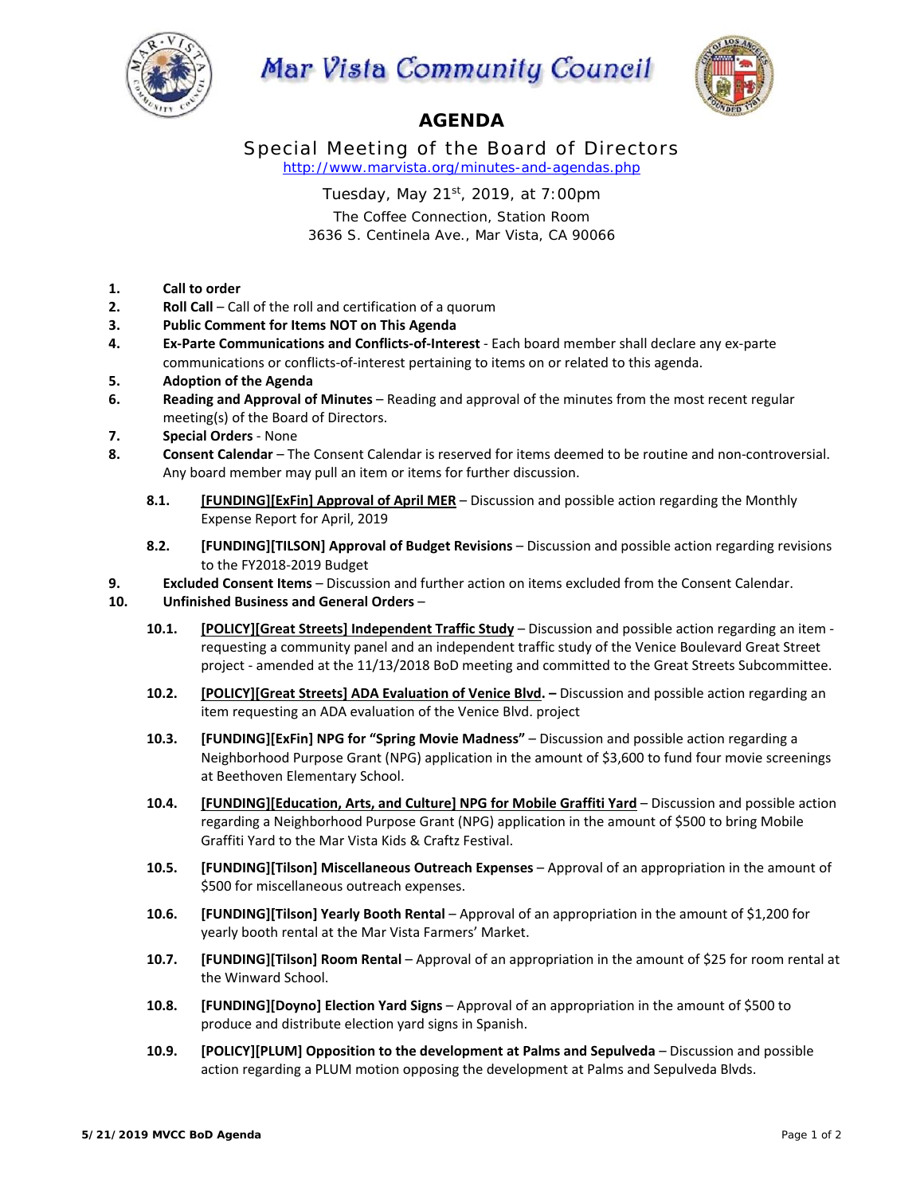

## Mar Vista Community Council



## **AGENDA**

Special Meeting of the Board of Directors *http://www.marvista.org/minutes-and-agendas.php* 

Tuesday, May 21st, 2019, at 7:00pm

The Coffee Connection, Station Room 3636 S. Centinela Ave., Mar Vista, CA 90066

- **1. Call to order**
- **2. Roll Call** Call of the roll and certification of a quorum
- **3. Public Comment for Items NOT on This Agenda**
- **4. Ex‐Parte Communications and Conflicts‐of‐Interest** ‐ Each board member shall declare any ex‐parte communications or conflicts‐of‐interest pertaining to items on or related to this agenda.
- **5. Adoption of the Agenda**
- **6. Reading and Approval of Minutes** Reading and approval of the minutes from the most recent regular meeting(s) of the Board of Directors.
- **7. Special Orders** ‐ None
- **8. Consent Calendar**  The Consent Calendar is reserved for items deemed to be routine and non‐controversial. Any board member may pull an item or items for further discussion.
	- **8.1. [FUNDING][ExFin] Approval of April MER**  Discussion and possible action regarding the Monthly Expense Report for April, 2019
	- **8.2. [FUNDING][TILSON] Approval of Budget Revisions** Discussion and possible action regarding revisions to the FY2018‐2019 Budget
- **9. Excluded Consent Items** Discussion and further action on items excluded from the Consent Calendar.
- **10. Unfinished Business and General Orders**
	- **10.1. [POLICY][Great Streets] Independent Traffic Study**  Discussion and possible action regarding an item ‐ requesting a community panel and an independent traffic study of the Venice Boulevard Great Street project - amended at the 11/13/2018 BoD meeting and committed to the Great Streets Subcommittee.
	- **10.2. [POLICY][Great Streets] ADA Evaluation of Venice Blvd.** Discussion and possible action regarding an item requesting an ADA evaluation of the Venice Blvd. project
	- **10.3. [FUNDING][ExFin] NPG for "Spring Movie Madness"**  Discussion and possible action regarding a Neighborhood Purpose Grant (NPG) application in the amount of \$3,600 to fund four movie screenings at Beethoven Elementary School.
	- 10.4. **[FUNDING][Education, Arts, and Culture] NPG for Mobile Graffiti Yard Discussion and possible action** regarding a Neighborhood Purpose Grant (NPG) application in the amount of \$500 to bring Mobile Graffiti Yard to the Mar Vista Kids & Craftz Festival.
	- **10.5. [FUNDING][Tilson] Miscellaneous Outreach Expenses** Approval of an appropriation in the amount of \$500 for miscellaneous outreach expenses.
	- **10.6. [FUNDING][Tilson] Yearly Booth Rental** Approval of an appropriation in the amount of \$1,200 for yearly booth rental at the Mar Vista Farmers' Market.
	- **10.7. [FUNDING][Tilson] Room Rental** Approval of an appropriation in the amount of \$25 for room rental at the Winward School.
	- **10.8. [FUNDING][Doyno] Election Yard Signs** Approval of an appropriation in the amount of \$500 to produce and distribute election yard signs in Spanish.
	- **10.9. [POLICY][PLUM] Opposition to the development at Palms and Sepulveda**  Discussion and possible action regarding a PLUM motion opposing the development at Palms and Sepulveda Blvds.